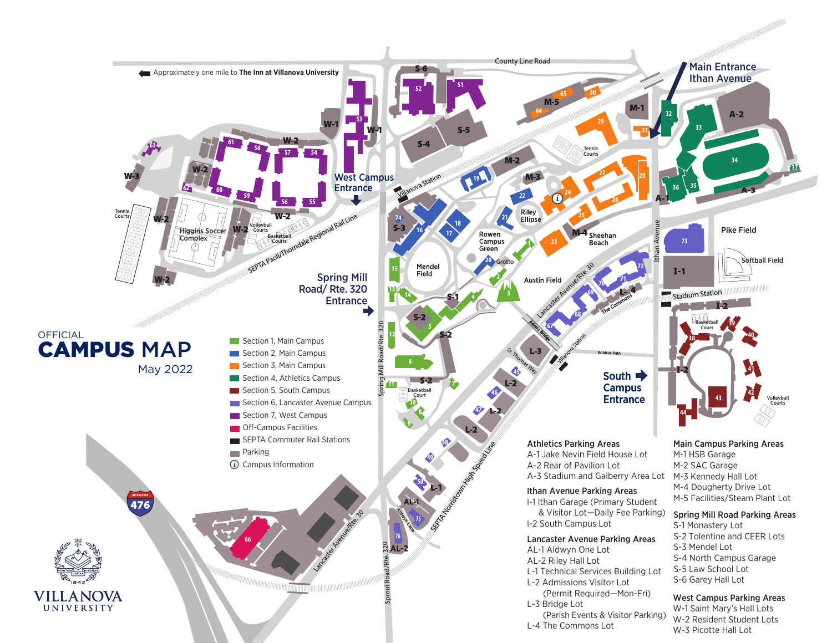